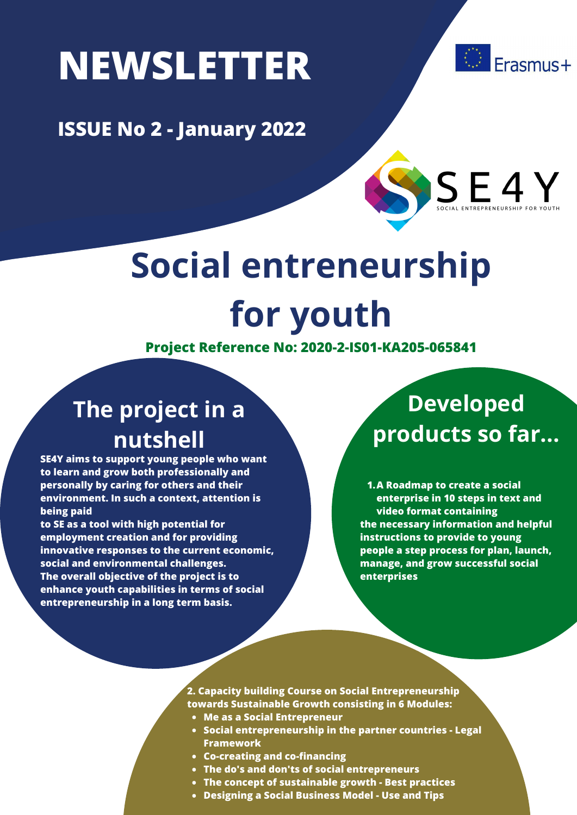# **NEWSLETTER**





Erasmus+

## **Social entreneurship for youth**

**Project Reference No: 2020-2-IS01-KA205-065841**

#### **The project in a nutshell**

**SE4Y aims to support young people who want to learn and grow both professionally and personally by caring for others and their environment. In such a context, attention is being paid**

**to SE as a tool with high potential for employment creation and for providing innovative responses to the current economic, social and environmental challenges. The overall objective of the project is to enhance youth capabilities in terms of social entrepreneurship in a long term basis.**

#### **Developed products so far...**

**A Roadmap to create a social 1. enterprise in 10 steps in text and video format containing the necessary information and helpful instructions to provide to young people a step process for plan, launch, manage, and grow successful social enterprises**

- **2. Capacity building Course on Social Entrepreneurship towards Sustainable Growth consisting in 6 Modules:**
- **Me as a Social Entrepreneur**
- **Social entrepreneurship in the partner countries - Legal Framework**
- **Co-creating and co-financing**
- **The do's and don'ts of social entrepreneurs**
- **The concept of sustainable growth - Best practices**
- **Designing a Social Business Model - Use and Tips**